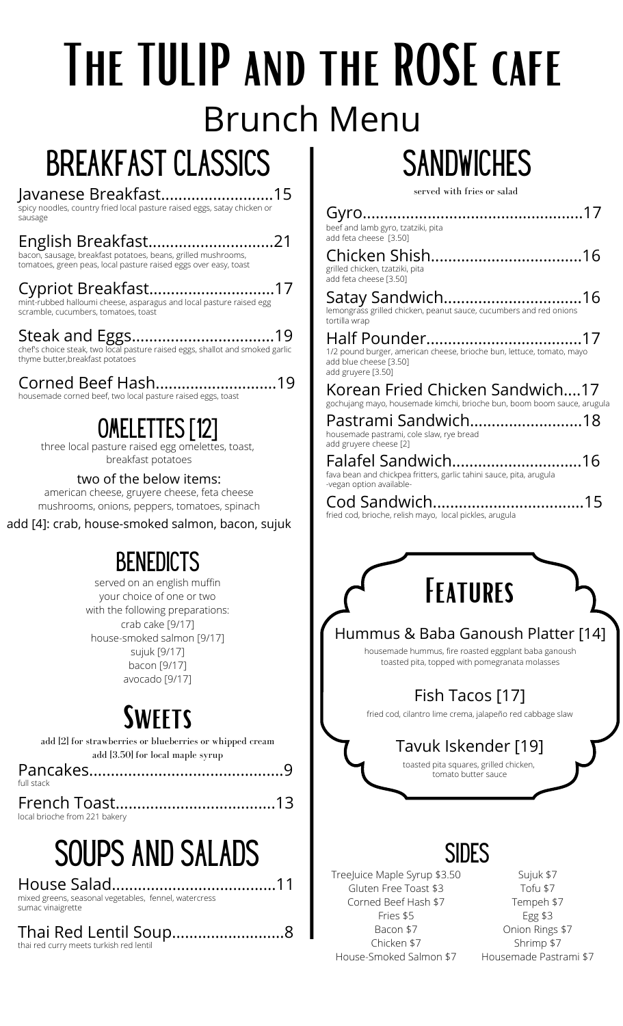# THE TULIP AND THE ROSE CAFF Brunch Menu

## Breakfast Classics

Javanese Breakfast..........................15 spicy noodles, country fried local pasture raised eggs, satay chicken or sausage

English Breakfast.............................21 bacon, sausage, breakfast potatoes, beans, grilled mushrooms, tomatoes, green peas, local pasture raised eggs over easy, toast

Cypriot Breakfast.............................17 mint-rubbed halloumi cheese, asparagus and local pasture raised egg scramble, cucumbers, tomatoes, toast

Steak and Eggs.................................19 chef's choice steak, two local pasture raised eggs, shallot and smoked garlic thyme butter,breakfast potatoes

Corned Beef Hash............................19 housemade corned beef, two local pasture raised eggs, toast

### OMELETTES [12]

three local pasture raised egg omelettes, toast, breakfast potatoes

two of the below items:

american cheese, gruyere cheese, feta cheese mushrooms, onions, peppers, tomatoes, spinach

add [4]: crab, house-smoked salmon, bacon, sujuk

### benedicts

served on an english muffin your choice of one or two with the following preparations: crab cake [9/17] house-smoked salmon [9/17] sujuk [9/17] bacon [9/17] avocado [9/17]

### **SWEETS**

add [2] for strawberries or blueberries or whipped cream add [3.50] for local maple syrup

| full stack                    |  |
|-------------------------------|--|
|                               |  |
| local brioche from 221 bakery |  |

# Soups and Salads

House Salad......................................11 mixed greens, seasonal vegetables, fennel, watercress sumac vinaigrette

Thai Red Lentil Soup..........................8 thai red curry meets turkish red lentil

# **SANDWICHES**

served with fries or salad

| beef and lamb gyro, tzatziki, pita<br>add feta cheese [3.50]                                                          |
|-----------------------------------------------------------------------------------------------------------------------|
| grilled chicken, tzatziki, pita<br>add feta cheese [3.50]                                                             |
| Satay Sandwich16<br>lemongrass grilled chicken, peanut sauce, cucumbers and red onions<br>tortilla wrap               |
| 1/2 pound burger, american cheese, brioche bun, lettuce, tomato, mayo<br>add blue cheese [3.50]<br>add gruyere [3.50] |
| Korean Fried Chicken Sandwich17<br>gochujang mayo, housemade kimchi, brioche bun, boom boom sauce, arugula            |
| Pastrami Sandwich18<br>housemade pastrami, cole slaw, rye bread<br>add gruyere cheese [2]                             |
| Falafel Sandwich16<br>fava bean and chickpea fritters, garlic tahini sauce, pita, arugula<br>-vegan option available- |
| fried cod, brioche, relish mayo, local pickles, arugula                                                               |

# **FFATURES**

#### Hummus & Baba Ganoush Platter [14]

housemade hummus, fire roasted eggplant baba ganoush toasted pita, topped with pomegranata molasses

### Fish Tacos [17]

fried cod, cilantro lime crema, jalapeño red cabbage slaw

### Tavuk Iskender [19]

toasted pita squares, grilled chicken, tomato butter sauce

### **SIDES**

TreeJuice Maple Syrup \$3.50 Gluten Free Toast \$3 Corned Beef Hash \$7 Fries \$5 Bacon \$7 Chicken \$7 House-Smoked Salmon \$7

Sujuk \$7 Tofu \$7 Tempeh \$7 Egg \$3 Onion Rings \$7 Shrimp \$7 Housemade Pastrami \$7